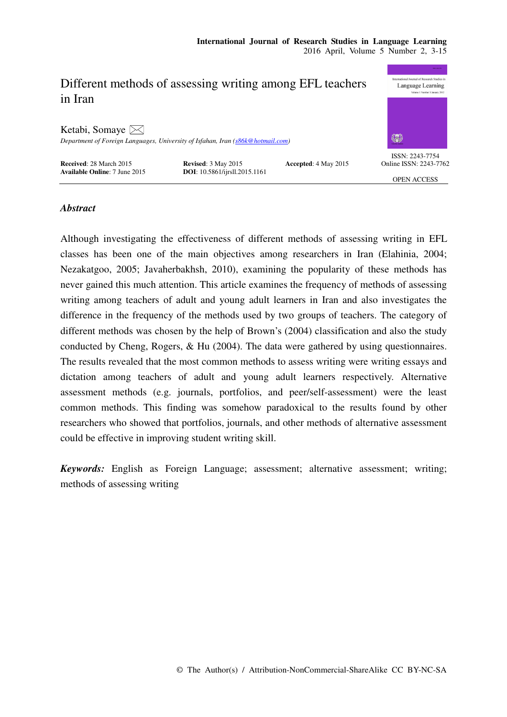# nal Journal of Research Studies Different methods of assessing writing among EFL teachers Language Learning in Iran Ketabi, Somaye  $\boxtimes$ *Department of Foreign Languages, University of Isfahan, Iran (s86k@hotmail.com)*  ISSN: 2243-7754 **Received**: 28 March 2015 **Revised**: 3 May 2015 **Accepted**: 4 May 2015 **Available Online**: 7 June 2015 **DOI**: 10.5861/ijrsll.2015.1161 Online ISSN: 2243-7762 **DOI**: 10.5861/ijrsll.2015.1161 OPEN ACCESS

## *Abstract*

Although investigating the effectiveness of different methods of assessing writing in EFL classes has been one of the main objectives among researchers in Iran (Elahinia, 2004; Nezakatgoo, 2005; Javaherbakhsh, 2010), examining the popularity of these methods has never gained this much attention. This article examines the frequency of methods of assessing writing among teachers of adult and young adult learners in Iran and also investigates the difference in the frequency of the methods used by two groups of teachers. The category of different methods was chosen by the help of Brown's (2004) classification and also the study conducted by Cheng, Rogers, & Hu (2004). The data were gathered by using questionnaires. The results revealed that the most common methods to assess writing were writing essays and dictation among teachers of adult and young adult learners respectively. Alternative assessment methods (e.g. journals, portfolios, and peer/self-assessment) were the least common methods. This finding was somehow paradoxical to the results found by other researchers who showed that portfolios, journals, and other methods of alternative assessment could be effective in improving student writing skill.

*Keywords:* English as Foreign Language; assessment; alternative assessment; writing; methods of assessing writing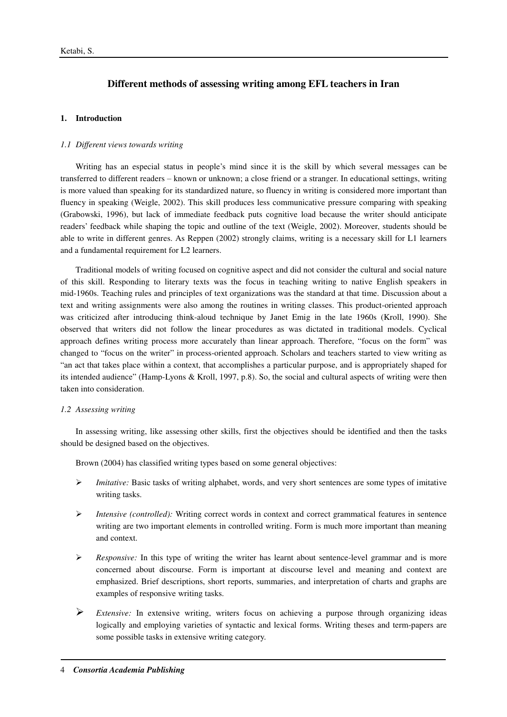# **Different methods of assessing writing among EFL teachers in Iran**

## **1. Introduction**

## *1.1 Different views towards writing*

Writing has an especial status in people's mind since it is the skill by which several messages can be transferred to different readers ‒ known or unknown; a close friend or a stranger. In educational settings, writing is more valued than speaking for its standardized nature, so fluency in writing is considered more important than fluency in speaking (Weigle, 2002). This skill produces less communicative pressure comparing with speaking (Grabowski, 1996), but lack of immediate feedback puts cognitive load because the writer should anticipate readers' feedback while shaping the topic and outline of the text (Weigle, 2002). Moreover, students should be able to write in different genres. As Reppen (2002) strongly claims, writing is a necessary skill for L1 learners and a fundamental requirement for L2 learners.

Traditional models of writing focused on cognitive aspect and did not consider the cultural and social nature of this skill. Responding to literary texts was the focus in teaching writing to native English speakers in mid-1960s. Teaching rules and principles of text organizations was the standard at that time. Discussion about a text and writing assignments were also among the routines in writing classes. This product-oriented approach was criticized after introducing think-aloud technique by Janet Emig in the late 1960s (Kroll, 1990). She observed that writers did not follow the linear procedures as was dictated in traditional models. Cyclical approach defines writing process more accurately than linear approach. Therefore, "focus on the form" was changed to "focus on the writer" in process-oriented approach. Scholars and teachers started to view writing as "an act that takes place within a context, that accomplishes a particular purpose, and is appropriately shaped for its intended audience" (Hamp-Lyons & Kroll, 1997, p.8). So, the social and cultural aspects of writing were then taken into consideration.

## *1.2 Assessing writing*

In assessing writing, like assessing other skills, first the objectives should be identified and then the tasks should be designed based on the objectives.

Brown (2004) has classified writing types based on some general objectives:

- *Imitative:* Basic tasks of writing alphabet, words, and very short sentences are some types of imitative writing tasks.
- *Intensive (controlled):* Writing correct words in context and correct grammatical features in sentence writing are two important elements in controlled writing. Form is much more important than meaning and context.
- *Responsive:* In this type of writing the writer has learnt about sentence-level grammar and is more concerned about discourse. Form is important at discourse level and meaning and context are emphasized. Brief descriptions, short reports, summaries, and interpretation of charts and graphs are examples of responsive writing tasks.
- *Extensive:* In extensive writing, writers focus on achieving a purpose through organizing ideas logically and employing varieties of syntactic and lexical forms. Writing theses and term-papers are some possible tasks in extensive writing category.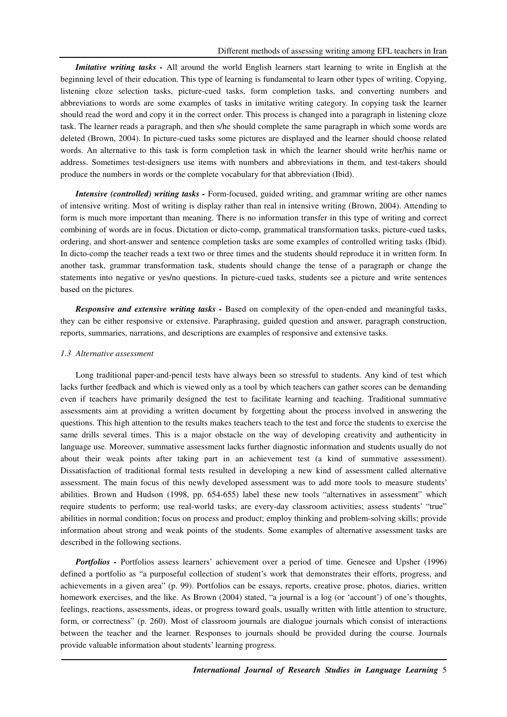*Imitative writing tasks - All around the world English learners start learning to write in English at the* beginning level of their education. This type of learning is fundamental to learn other types of writing. Copying, listening cloze selection tasks, picture-cued tasks, form completion tasks, and converting numbers and abbreviations to words are some examples of tasks in imitative writing category. In copying task the learner should read the word and copy it in the correct order. This process is changed into a paragraph in listening cloze task. The learner reads a paragraph, and then s/he should complete the same paragraph in which some words are deleted (Brown, 2004). In picture-cued tasks some pictures are displayed and the learner should choose related words. An alternative to this task is form completion task in which the learner should write her/his name or address. Sometimes test-designers use items with numbers and abbreviations in them, and test-takers should produce the numbers in words or the complete vocabulary for that abbreviation (Ibid).

*Intensive (controlled) writing tasks - Form-focused, guided writing, and grammar writing are other names* of intensive writing. Most of writing is display rather than real in intensive writing (Brown, 2004). Attending to form is much more important than meaning. There is no information transfer in this type of writing and correct combining of words are in focus. Dictation or dicto-comp, grammatical transformation tasks, picture-cued tasks, ordering, and short-answer and sentence completion tasks are some examples of controlled writing tasks (Ibid). In dicto-comp the teacher reads a text two or three times and the students should reproduce it in written form. In another task, grammar transformation task, students should change the tense of a paragraph or change the statements into negative or yes/no questions. In picture-cued tasks, students see a picture and write sentences based on the pictures.

*Responsive and extensive writing tasks -* Based on complexity of the open-ended and meaningful tasks, they can be either responsive or extensive. Paraphrasing, guided question and answer, paragraph construction, reports, summaries, narrations, and descriptions are examples of responsive and extensive tasks.

#### *1.3 Alternative assessment*

Long traditional paper-and-pencil tests have always been so stressful to students. Any kind of test which lacks further feedback and which is viewed only as a tool by which teachers can gather scores can be demanding even if teachers have primarily designed the test to facilitate learning and teaching. Traditional summative assessments aim at providing a written document by forgetting about the process involved in answering the questions. This high attention to the results makes teachers teach to the test and force the students to exercise the same drills several times. This is a major obstacle on the way of developing creativity and authenticity in language use. Moreover, summative assessment lacks further diagnostic information and students usually do not about their weak points after taking part in an achievement test (a kind of summative assessment). Dissatisfaction of traditional formal tests resulted in developing a new kind of assessment called alternative assessment. The main focus of this newly developed assessment was to add more tools to measure students' abilities. Brown and Hudson (1998, pp. 654-655) label these new tools "alternatives in assessment" which require students to perform; use real-world tasks; are every-day classroom activities; assess students' "true" abilities in normal condition; focus on process and product; employ thinking and problem-solving skills; provide information about strong and weak points of the students. Some examples of alternative assessment tasks are described in the following sections.

*Portfolios -* Portfolios assess learners' achievement over a period of time. Genesee and Upsher (1996) defined a portfolio as "a purposeful collection of student's work that demonstrates their efforts, progress, and achievements in a given area" (p. 99). Portfolios can be essays, reports, creative prose, photos, diaries, written homework exercises, and the like. As Brown (2004) stated, "a journal is a log (or 'account') of one's thoughts, feelings, reactions, assessments, ideas, or progress toward goals, usually written with little attention to structure, form, or correctness" (p. 260). Most of classroom journals are dialogue journals which consist of interactions between the teacher and the learner. Responses to journals should be provided during the course. Journals provide valuable information about students' learning progress.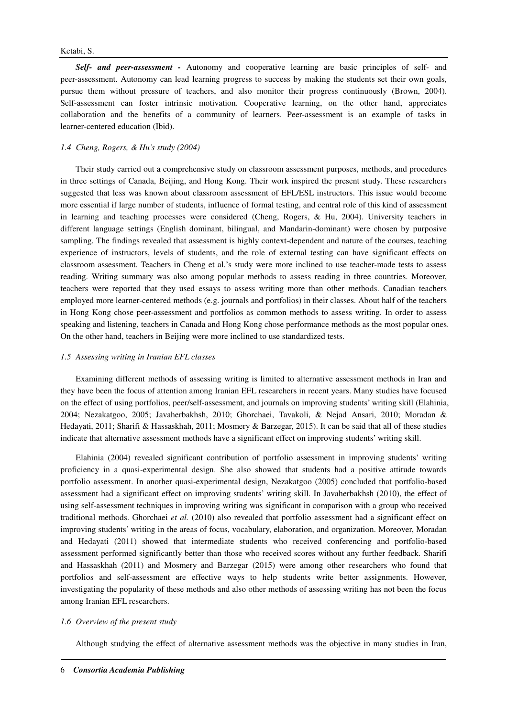*Self- and peer-assessment -* Autonomy and cooperative learning are basic principles of self- and peer-assessment. Autonomy can lead learning progress to success by making the students set their own goals, pursue them without pressure of teachers, and also monitor their progress continuously (Brown, 2004). Self-assessment can foster intrinsic motivation. Cooperative learning, on the other hand, appreciates collaboration and the benefits of a community of learners. Peer-assessment is an example of tasks in learner-centered education (Ibid).

### *1.4 Cheng, Rogers, & Hu's study (2004)*

Their study carried out a comprehensive study on classroom assessment purposes, methods, and procedures in three settings of Canada, Beijing, and Hong Kong. Their work inspired the present study. These researchers suggested that less was known about classroom assessment of EFL/ESL instructors. This issue would become more essential if large number of students, influence of formal testing, and central role of this kind of assessment in learning and teaching processes were considered (Cheng, Rogers, & Hu, 2004). University teachers in different language settings (English dominant, bilingual, and Mandarin-dominant) were chosen by purposive sampling. The findings revealed that assessment is highly context-dependent and nature of the courses, teaching experience of instructors, levels of students, and the role of external testing can have significant effects on classroom assessment. Teachers in Cheng et al.'s study were more inclined to use teacher-made tests to assess reading. Writing summary was also among popular methods to assess reading in three countries. Moreover, teachers were reported that they used essays to assess writing more than other methods. Canadian teachers employed more learner-centered methods (e.g. journals and portfolios) in their classes. About half of the teachers in Hong Kong chose peer-assessment and portfolios as common methods to assess writing. In order to assess speaking and listening, teachers in Canada and Hong Kong chose performance methods as the most popular ones. On the other hand, teachers in Beijing were more inclined to use standardized tests.

### *1.5 Assessing writing in Iranian EFL classes*

Examining different methods of assessing writing is limited to alternative assessment methods in Iran and they have been the focus of attention among Iranian EFL researchers in recent years. Many studies have focused on the effect of using portfolios, peer/self-assessment, and journals on improving students' writing skill (Elahinia, 2004; Nezakatgoo, 2005; Javaherbakhsh, 2010; Ghorchaei, Tavakoli, & Nejad Ansari, 2010; Moradan & Hedayati, 2011; Sharifi & Hassaskhah, 2011; Mosmery & Barzegar, 2015). It can be said that all of these studies indicate that alternative assessment methods have a significant effect on improving students' writing skill.

Elahinia (2004) revealed significant contribution of portfolio assessment in improving students' writing proficiency in a quasi-experimental design. She also showed that students had a positive attitude towards portfolio assessment. In another quasi-experimental design, Nezakatgoo (2005) concluded that portfolio-based assessment had a significant effect on improving students' writing skill. In Javaherbakhsh (2010), the effect of using self-assessment techniques in improving writing was significant in comparison with a group who received traditional methods. Ghorchaei *et al.* (2010) also revealed that portfolio assessment had a significant effect on improving students' writing in the areas of focus, vocabulary, elaboration, and organization. Moreover, Moradan and Hedayati (2011) showed that intermediate students who received conferencing and portfolio-based assessment performed significantly better than those who received scores without any further feedback. Sharifi and Hassaskhah (2011) and Mosmery and Barzegar (2015) were among other researchers who found that portfolios and self-assessment are effective ways to help students write better assignments. However, investigating the popularity of these methods and also other methods of assessing writing has not been the focus among Iranian EFL researchers.

### *1.6 Overview of the present study*

Although studying the effect of alternative assessment methods was the objective in many studies in Iran,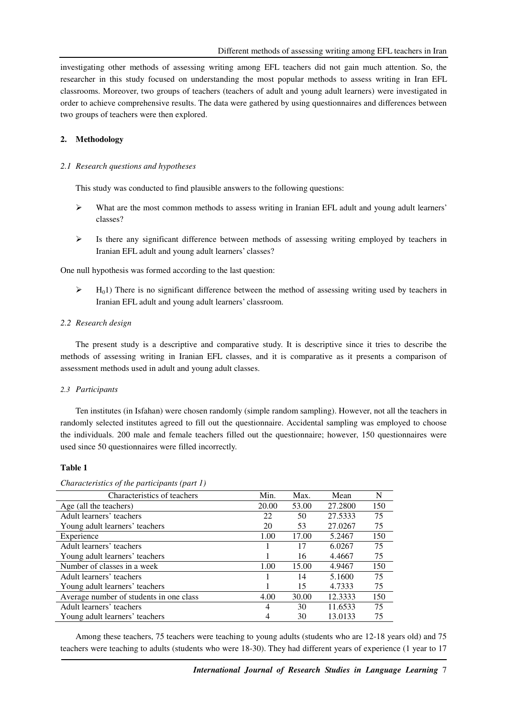investigating other methods of assessing writing among EFL teachers did not gain much attention. So, the researcher in this study focused on understanding the most popular methods to assess writing in Iran EFL classrooms. Moreover, two groups of teachers (teachers of adult and young adult learners) were investigated in order to achieve comprehensive results. The data were gathered by using questionnaires and differences between two groups of teachers were then explored.

### **2. Methodology**

#### *2.1 Research questions and hypotheses*

This study was conducted to find plausible answers to the following questions:

- $\triangleright$  What are the most common methods to assess writing in Iranian EFL adult and young adult learners' classes?
- $\triangleright$  Is there any significant difference between methods of assessing writing employed by teachers in Iranian EFL adult and young adult learners' classes?

One null hypothesis was formed according to the last question:

 $\triangleright$  H<sub>0</sub>1) There is no significant difference between the method of assessing writing used by teachers in Iranian EFL adult and young adult learners' classroom.

### *2.2 Research design*

The present study is a descriptive and comparative study. It is descriptive since it tries to describe the methods of assessing writing in Iranian EFL classes, and it is comparative as it presents a comparison of assessment methods used in adult and young adult classes.

#### *2.3 Participants*

Ten institutes (in Isfahan) were chosen randomly (simple random sampling). However, not all the teachers in randomly selected institutes agreed to fill out the questionnaire. Accidental sampling was employed to choose the individuals. 200 male and female teachers filled out the questionnaire; however, 150 questionnaires were used since 50 questionnaires were filled incorrectly.

#### **Table 1**

| Characteristics of teachers             | Min.  | Max.  | Mean    | N   |
|-----------------------------------------|-------|-------|---------|-----|
| Age (all the teachers)                  | 20.00 | 53.00 | 27.2800 | 150 |
| Adult learners' teachers                | 22    | 50    | 27.5333 | 75  |
| Young adult learners' teachers          | 20    | 53    | 27.0267 | 75  |
| Experience                              | 1.00  | 17.00 | 5.2467  | 150 |
| Adult learners' teachers                |       | 17    | 6.0267  | 75  |
| Young adult learners' teachers          |       | 16    | 4.4667  | 75  |
| Number of classes in a week             | 1.00  | 15.00 | 4.9467  | 150 |
| Adult learners' teachers                |       | 14    | 5.1600  | 75  |
| Young adult learners' teachers          |       | 15    | 4.7333  | 75  |
| Average number of students in one class | 4.00  | 30.00 | 12.3333 | 150 |
| Adult learners' teachers                | 4     | 30    | 11.6533 | 75  |
| Young adult learners' teachers          | 4     | 30    | 13.0133 | 75  |

*Characteristics of the participants (part 1)* 

Among these teachers, 75 teachers were teaching to young adults (students who are 12-18 years old) and 75 teachers were teaching to adults (students who were 18-30). They had different years of experience (1 year to 17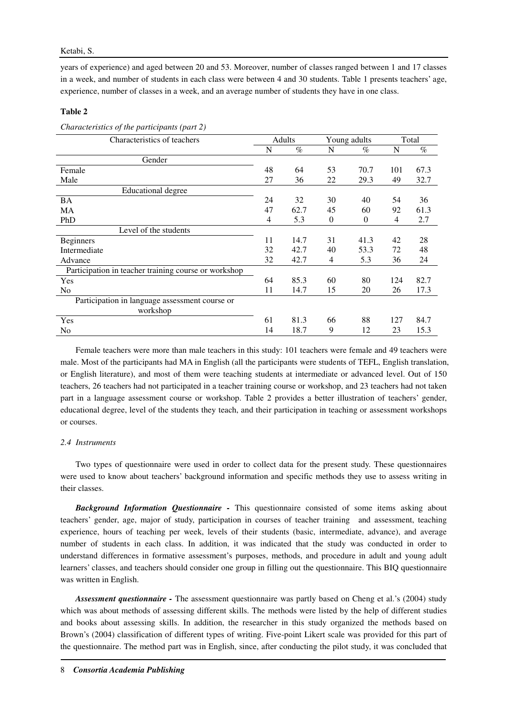years of experience) and aged between 20 and 53. Moreover, number of classes ranged between 1 and 17 classes in a week, and number of students in each class were between 4 and 30 students. Table 1 presents teachers' age, experience, number of classes in a week, and an average number of students they have in one class.

### **Table 2**

| $\frac{1}{2}$                                        |    |        |          |                  |     |       |
|------------------------------------------------------|----|--------|----------|------------------|-----|-------|
| Characteristics of teachers                          |    | Adults |          | Young adults     |     | Total |
|                                                      | N  | $\%$   | N        | $\%$             | N   | $\%$  |
| Gender                                               |    |        |          |                  |     |       |
| Female                                               | 48 | 64     | 53       | 70.7             | 101 | 67.3  |
| Male                                                 | 27 | 36     | 22       | 29.3             | 49  | 32.7  |
| <b>Educational degree</b>                            |    |        |          |                  |     |       |
| BA                                                   | 24 | 32     | 30       | 40               | 54  | 36    |
| MA                                                   | 47 | 62.7   | 45       | 60               | 92  | 61.3  |
| PhD                                                  | 4  | 5.3    | $\theta$ | $\boldsymbol{0}$ | 4   | 2.7   |
| Level of the students                                |    |        |          |                  |     |       |
| <b>Beginners</b>                                     | 11 | 14.7   | 31       | 41.3             | 42  | 28    |
| Intermediate                                         | 32 | 42.7   | 40       | 53.3             | 72  | 48    |
| Advance                                              | 32 | 42.7   | 4        | 5.3              | 36  | 24    |
| Participation in teacher training course or workshop |    |        |          |                  |     |       |
| Yes                                                  | 64 | 85.3   | 60       | 80               | 124 | 82.7  |
| N <sub>0</sub>                                       | 11 | 14.7   | 15       | 20               | 26  | 17.3  |
| Participation in language assessment course or       |    |        |          |                  |     |       |
| workshop                                             |    |        |          |                  |     |       |
| Yes                                                  | 61 | 81.3   | 66       | 88               | 127 | 84.7  |
| N <sub>0</sub>                                       | 14 | 18.7   | 9        | 12               | 23  | 15.3  |

*Characteristics of the participants (part 2)* 

Female teachers were more than male teachers in this study: 101 teachers were female and 49 teachers were male. Most of the participants had MA in English (all the participants were students of TEFL, English translation, or English literature), and most of them were teaching students at intermediate or advanced level. Out of 150 teachers, 26 teachers had not participated in a teacher training course or workshop, and 23 teachers had not taken part in a language assessment course or workshop. Table 2 provides a better illustration of teachers' gender, educational degree, level of the students they teach, and their participation in teaching or assessment workshops or courses.

## *2.4 Instruments*

Two types of questionnaire were used in order to collect data for the present study. These questionnaires were used to know about teachers' background information and specific methods they use to assess writing in their classes.

*Background Information Questionnaire -* This questionnaire consisted of some items asking about teachers' gender, age, major of study, participation in courses of teacher training and assessment, teaching experience, hours of teaching per week, levels of their students (basic, intermediate, advance), and average number of students in each class. In addition, it was indicated that the study was conducted in order to understand differences in formative assessment's purposes, methods, and procedure in adult and young adult learners' classes, and teachers should consider one group in filling out the questionnaire. This BIQ questionnaire was written in English.

*Assessment questionnaire -* The assessment questionnaire was partly based on Cheng et al.'s (2004) study which was about methods of assessing different skills. The methods were listed by the help of different studies and books about assessing skills. In addition, the researcher in this study organized the methods based on Brown's (2004) classification of different types of writing. Five-point Likert scale was provided for this part of the questionnaire. The method part was in English, since, after conducting the pilot study, it was concluded that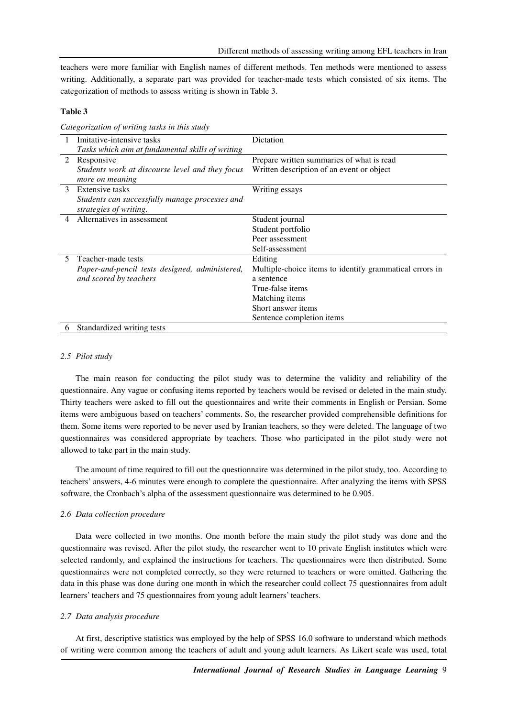teachers were more familiar with English names of different methods. Ten methods were mentioned to assess writing. Additionally, a separate part was provided for teacher-made tests which consisted of six items. The categorization of methods to assess writing is shown in Table 3.

### **Table 3**

|    | Imitative-intensive tasks                        | Dictation                                               |
|----|--------------------------------------------------|---------------------------------------------------------|
|    | Tasks which aim at fundamental skills of writing |                                                         |
| 2  | Responsive                                       | Prepare written summaries of what is read               |
|    | Students work at discourse level and they focus  | Written description of an event or object               |
|    | more on meaning                                  |                                                         |
| 3  | Extensive tasks                                  | Writing essays                                          |
|    | Students can successfully manage processes and   |                                                         |
|    | strategies of writing.                           |                                                         |
| 4  | Alternatives in assessment                       | Student journal                                         |
|    |                                                  | Student portfolio                                       |
|    |                                                  | Peer assessment                                         |
|    |                                                  | Self-assessment                                         |
| 5. | Teacher-made tests                               | Editing                                                 |
|    | Paper-and-pencil tests designed, administered,   | Multiple-choice items to identify grammatical errors in |
|    | and scored by teachers                           | a sentence                                              |
|    |                                                  | True-false items                                        |
|    |                                                  | Matching items                                          |
|    |                                                  | Short answer items                                      |
|    |                                                  | Sentence completion items                               |
| O  | Standardized writing tests                       |                                                         |

*Categorization of writing tasks in this study* 

#### *2.5 Pilot study*

The main reason for conducting the pilot study was to determine the validity and reliability of the questionnaire. Any vague or confusing items reported by teachers would be revised or deleted in the main study. Thirty teachers were asked to fill out the questionnaires and write their comments in English or Persian. Some items were ambiguous based on teachers' comments. So, the researcher provided comprehensible definitions for them. Some items were reported to be never used by Iranian teachers, so they were deleted. The language of two questionnaires was considered appropriate by teachers. Those who participated in the pilot study were not allowed to take part in the main study.

The amount of time required to fill out the questionnaire was determined in the pilot study, too. According to teachers' answers, 4-6 minutes were enough to complete the questionnaire. After analyzing the items with SPSS software, the Cronbach's alpha of the assessment questionnaire was determined to be 0.905.

#### *2.6 Data collection procedure*

Data were collected in two months. One month before the main study the pilot study was done and the questionnaire was revised. After the pilot study, the researcher went to 10 private English institutes which were selected randomly, and explained the instructions for teachers. The questionnaires were then distributed. Some questionnaires were not completed correctly, so they were returned to teachers or were omitted. Gathering the data in this phase was done during one month in which the researcher could collect 75 questionnaires from adult learners' teachers and 75 questionnaires from young adult learners' teachers.

### *2.7 Data analysis procedure*

At first, descriptive statistics was employed by the help of SPSS 16.0 software to understand which methods of writing were common among the teachers of adult and young adult learners. As Likert scale was used, total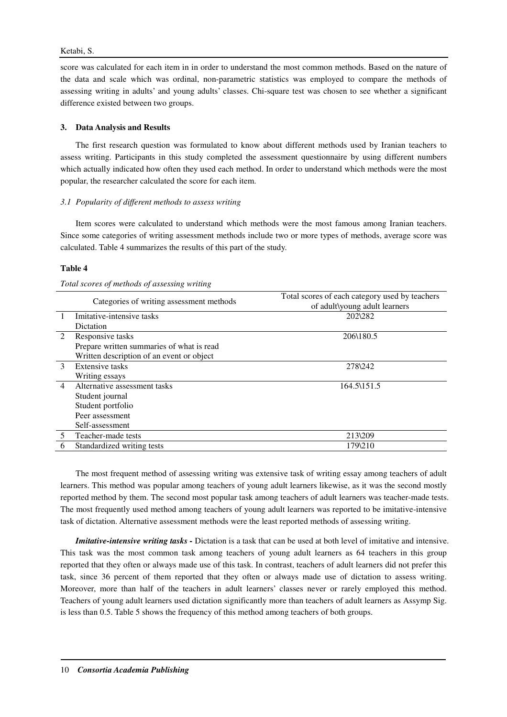score was calculated for each item in in order to understand the most common methods. Based on the nature of the data and scale which was ordinal, non-parametric statistics was employed to compare the methods of assessing writing in adults' and young adults' classes. Chi-square test was chosen to see whether a significant difference existed between two groups.

## **3. Data Analysis and Results**

The first research question was formulated to know about different methods used by Iranian teachers to assess writing. Participants in this study completed the assessment questionnaire by using different numbers which actually indicated how often they used each method. In order to understand which methods were the most popular, the researcher calculated the score for each item.

## *3.1 Popularity of different methods to assess writing*

Item scores were calculated to understand which methods were the most famous among Iranian teachers. Since some categories of writing assessment methods include two or more types of methods, average score was calculated. Table 4 summarizes the results of this part of the study.

## **Table 4**

### *Total scores of methods of assessing writing*

|                | Categories of writing assessment methods  | Total scores of each category used by teachers<br>of adult\young adult learners |
|----------------|-------------------------------------------|---------------------------------------------------------------------------------|
|                | Imitative-intensive tasks                 | 202\282                                                                         |
|                | Dictation                                 |                                                                                 |
| $\mathfrak{D}$ | Responsive tasks                          | 206\180.5                                                                       |
|                | Prepare written summaries of what is read |                                                                                 |
|                | Written description of an event or object |                                                                                 |
| 3              | Extensive tasks                           | 278\242                                                                         |
|                | Writing essays                            |                                                                                 |
| 4              | Alternative assessment tasks              | 164.5\151.5                                                                     |
|                | Student journal                           |                                                                                 |
|                | Student portfolio                         |                                                                                 |
|                | Peer assessment                           |                                                                                 |
|                | Self-assessment                           |                                                                                 |
| 5              | Teacher-made tests                        | 213\209                                                                         |
| 6              | Standardized writing tests                | 179\210                                                                         |

The most frequent method of assessing writing was extensive task of writing essay among teachers of adult learners. This method was popular among teachers of young adult learners likewise, as it was the second mostly reported method by them. The second most popular task among teachers of adult learners was teacher-made tests. The most frequently used method among teachers of young adult learners was reported to be imitative-intensive task of dictation. Alternative assessment methods were the least reported methods of assessing writing.

*Imitative-intensive writing tasks - Dictation is a task that can be used at both level of imitative and intensive.* This task was the most common task among teachers of young adult learners as 64 teachers in this group reported that they often or always made use of this task. In contrast, teachers of adult learners did not prefer this task, since 36 percent of them reported that they often or always made use of dictation to assess writing. Moreover, more than half of the teachers in adult learners' classes never or rarely employed this method. Teachers of young adult learners used dictation significantly more than teachers of adult learners as Assymp Sig. is less than 0.5. Table 5 shows the frequency of this method among teachers of both groups.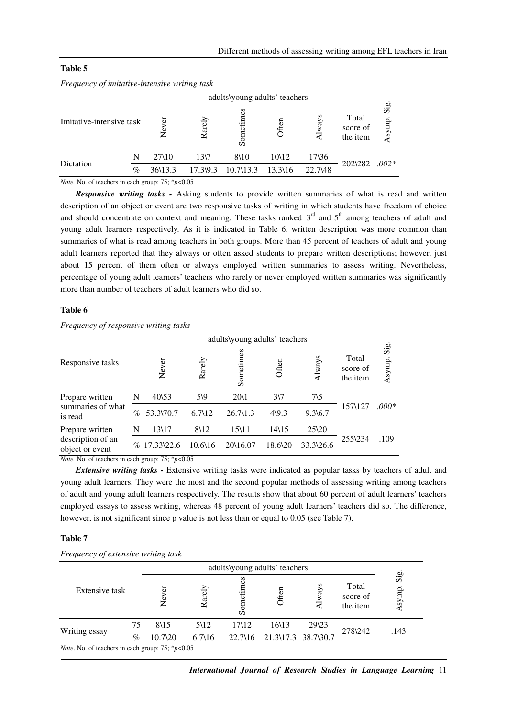### **Table 5**

|                          |      |         |                 |                      | adults\young adults' teachers |         |                               |                                  |
|--------------------------|------|---------|-----------------|----------------------|-------------------------------|---------|-------------------------------|----------------------------------|
| Imitative-intensive task |      | đ<br>Ž  | Rarely          | Sometin              | Often                         | ways    | Total<br>score of<br>the item | $\overline{\text{sig}}$<br>Asymp |
|                          | N    | 27\10   | 13 <sub>7</sub> | 8\10                 | 10\12                         | 17\36   |                               |                                  |
| Dictation                | $\%$ | 36\13.3 | 17.39.3         | $10.7\backslash13.3$ | 13.3\16                       | 22.7\48 | 202\282                       | $.002*$                          |

#### *Frequency of imitative-intensive writing task*

*Note.* No. of teachers in each group: 75; \**p*<0.05

*Responsive writing tasks -* Asking students to provide written summaries of what is read and written description of an object or event are two responsive tasks of writing in which students have freedom of choice and should concentrate on context and meaning. These tasks ranked  $3<sup>rd</sup>$  and  $5<sup>th</sup>$  among teachers of adult and young adult learners respectively. As it is indicated in Table 6, written description was more common than summaries of what is read among teachers in both groups. More than 45 percent of teachers of adult and young adult learners reported that they always or often asked students to prepare written descriptions; however, just about 15 percent of them often or always employed written summaries to assess writing. Nevertheless, percentage of young adult learners' teachers who rarely or never employed written summaries was significantly more than number of teachers of adult learners who did so.

### **Table 6**

|                                                         |      | adults\young adults' teachers |                   |                     |                  |                   |                               |                                   |  |
|---------------------------------------------------------|------|-------------------------------|-------------------|---------------------|------------------|-------------------|-------------------------------|-----------------------------------|--|
| Responsive tasks                                        |      | Never                         | Rarely            | Sometimes           | Often            | Always            | Total<br>score of<br>the item | $\overline{\text{Sig}}$<br>Asymp. |  |
| Prepare written<br>summaries of what<br>is read         | N    | $40\frac{53}{3}$              | $5\sqrt{9}$       | 20\1                | $3\sqrt{7}$      | $7\backslash 5$   |                               |                                   |  |
|                                                         | $\%$ | 53.3\70.7                     | 6.7 <sub>12</sub> | $26.7\backslash1.3$ | $4\sqrt{9.3}$    | $9.3\%$ .7        | 157\127                       | $.000*$                           |  |
| Prepare written<br>description of an<br>object or event | N    | 13\17                         | 8\12              | 15\11               | $14\frac{15}{2}$ | $25\frac{20}{20}$ |                               |                                   |  |
|                                                         |      | $% 17.33\frac{22.6}{ }$       | 10.6\16           | 20\16.07            | 18.6\20          | 33.3\26.6         | 255\234                       | .109                              |  |

## *Frequency of responsive writing tasks*

*Note.* No. of teachers in each group: 75; \**p*<0.05

*Extensive writing tasks -* Extensive writing tasks were indicated as popular tasks by teachers of adult and young adult learners. They were the most and the second popular methods of assessing writing among teachers of adult and young adult learners respectively. The results show that about 60 percent of adult learners' teachers employed essays to assess writing, whereas 48 percent of young adult learners' teachers did so. The difference, however, is not significant since p value is not less than or equal to 0.05 (see Table 7).

### **Table 7**

#### *Frequency of extensive writing task*

|                                                                |      | adults\young adults' teachers |                   |                           |                     |       |                               |                                   |  |  |
|----------------------------------------------------------------|------|-------------------------------|-------------------|---------------------------|---------------------|-------|-------------------------------|-----------------------------------|--|--|
| Extensive task                                                 |      | 5<br>ω                        | Rarely            | $e^{i\mathbf{m}}$<br>Some |                     | vays  | Total<br>score of<br>the item | $\overline{\text{Sig}}$<br>Asymp. |  |  |
|                                                                | 75   | 8\15                          | 5\12              | 17\12                     | 16\13               | 29\23 |                               |                                   |  |  |
| Writing essay                                                  | $\%$ | $10.7\lambda$ 20              | $6.7\backslash16$ | $22.7\backslash16$        | 21.3\17.3 38.7\30.7 |       | 278\242                       | .143                              |  |  |
| <i>Note</i> . No. of teachers in each group: $75$ ; * $p<0.05$ |      |                               |                   |                           |                     |       |                               |                                   |  |  |

*International Journal of Research Studies in Language Learning* 11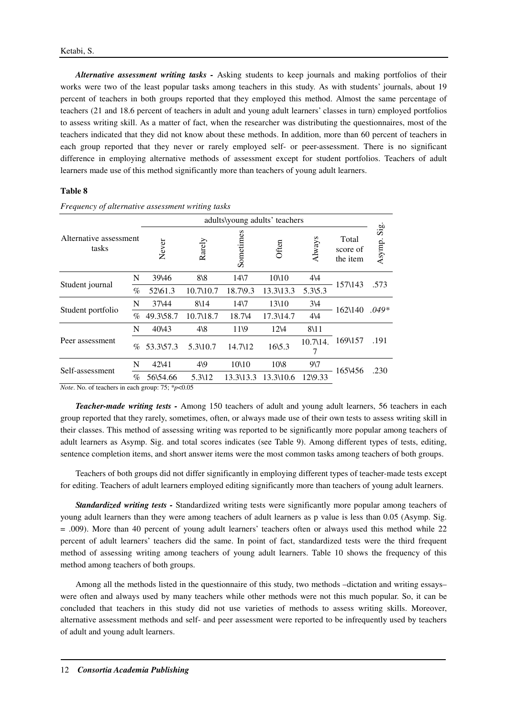*Alternative assessment writing tasks -* Asking students to keep journals and making portfolios of their works were two of the least popular tasks among teachers in this study. As with students' journals, about 19 percent of teachers in both groups reported that they employed this method. Almost the same percentage of teachers (21 and 18.6 percent of teachers in adult and young adult learners' classes in turn) employed portfolios to assess writing skill. As a matter of fact, when the researcher was distributing the questionnaires, most of the teachers indicated that they did not know about these methods. In addition, more than 60 percent of teachers in each group reported that they never or rarely employed self- or peer-assessment. There is no significant difference in employing alternative methods of assessment except for student portfolios. Teachers of adult learners made use of this method significantly more than teachers of young adult learners.

## **Table 8**

|                                 |      |           | adults\young adults' teachers |                 |                    |                         |                               |                             |  |
|---------------------------------|------|-----------|-------------------------------|-----------------|--------------------|-------------------------|-------------------------------|-----------------------------|--|
| Alternative assessment<br>tasks |      | Never     | Rarely                        | Sometimes       | Often              | Always                  | Total<br>score of<br>the item | $\mathrm{Si}_{g}$<br>Asymp. |  |
| N                               |      | 39\46     | $8\sqrt{8}$                   | 14 <sub>7</sub> | 10\10              | $4\sqrt{4}$             | 157\143                       | .573                        |  |
| Student journal                 | $\%$ | 52\61.3   | 10.7\10.7                     | 18.7\9.3        | 13.3\13.3          | $5.3\overline{)5.3}$    |                               |                             |  |
|                                 |      | 37\44     | 8\14                          | 14 <sub>7</sub> | 13\10              | $3\sqrt{4}$             | 162\140                       | $.049*$                     |  |
| Student portfolio               | $\%$ | 49.3\58.7 | 10.7\18.7                     | 18.7\4          | 17.3\14.7          | $4\sqrt{4}$             |                               |                             |  |
|                                 | N    | 40\43     | $4\sqrt{8}$                   | $11\$           | 12\4               | 8\11                    |                               |                             |  |
| Peer assessment                 | $\%$ | 53.3\57.3 | 5.3\10.7                      | 14.7\12         | $16\overline{5.3}$ | 10.7 <sub>14</sub><br>7 | 169\157                       | .191                        |  |
| N                               |      | 42\41     | $4\sqrt{9}$                   | 10\10           | 10\8               | $9\sqrt{7}$             | 165\456                       | .230                        |  |
| Self-assessment                 | $\%$ | 56\54.66  | 5.3\12                        | 13.3\13.3       | 13.3\10.6          | 12\9.33                 |                               |                             |  |

*Frequency of alternative assessment writing tasks* 

*Note*. No. of teachers in each group: 75; \**p*<0.05

*Teacher-made writing tests -* Among 150 teachers of adult and young adult learners, 56 teachers in each group reported that they rarely, sometimes, often, or always made use of their own tests to assess writing skill in their classes. This method of assessing writing was reported to be significantly more popular among teachers of adult learners as Asymp. Sig. and total scores indicates (see Table 9). Among different types of tests, editing, sentence completion items, and short answer items were the most common tasks among teachers of both groups.

Teachers of both groups did not differ significantly in employing different types of teacher-made tests except for editing. Teachers of adult learners employed editing significantly more than teachers of young adult learners.

*Standardized writing tests -* Standardized writing tests were significantly more popular among teachers of young adult learners than they were among teachers of adult learners as p value is less than 0.05 (Asymp. Sig. = .009). More than 40 percent of young adult learners' teachers often or always used this method while 22 percent of adult learners' teachers did the same. In point of fact, standardized tests were the third frequent method of assessing writing among teachers of young adult learners. Table 10 shows the frequency of this method among teachers of both groups.

Among all the methods listed in the questionnaire of this study, two methods –dictation and writing essays– were often and always used by many teachers while other methods were not this much popular. So, it can be concluded that teachers in this study did not use varieties of methods to assess writing skills. Moreover, alternative assessment methods and self- and peer assessment were reported to be infrequently used by teachers of adult and young adult learners.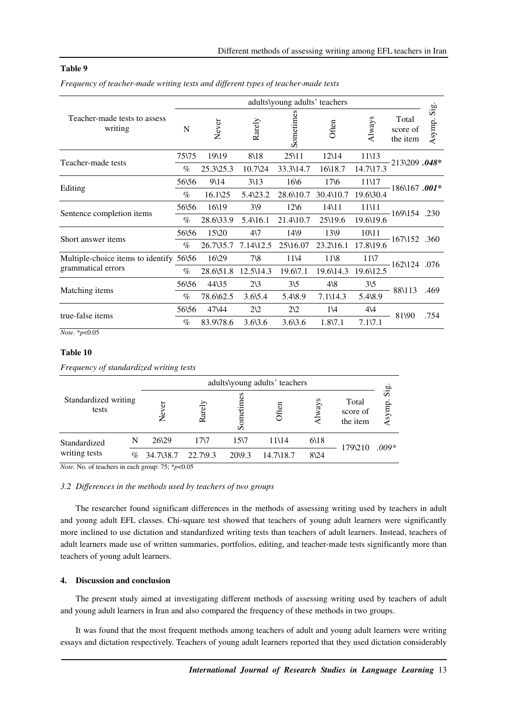### **Table 9**

|  |  | Frequency of teacher-made writing tests and different types of teacher-made tests |  |  |  |  |
|--|--|-----------------------------------------------------------------------------------|--|--|--|--|
|--|--|-----------------------------------------------------------------------------------|--|--|--|--|

| N     | Never                                   | Rarely             | Sometimes          | Often                | Always                        | Total<br>score of<br>the item | $\mathrm{Si}\mathrm{g}$<br>Asymp.                                                                                                    |
|-------|-----------------------------------------|--------------------|--------------------|----------------------|-------------------------------|-------------------------------|--------------------------------------------------------------------------------------------------------------------------------------|
| 75\75 | 19\19                                   | $8\backslash18$    | $25\backslash11$   | $12\overline{14}$    | 11\13                         |                               |                                                                                                                                      |
| $\%$  | 25.3\25.3                               | 10.7\24            | 33.3\14.7          | 16\18.7              | 14.7\17.3                     |                               |                                                                                                                                      |
| 56\56 | $9\frac{14}{3}$                         | $3\lambda$ 13      | 166                | $17\sqrt{6}$         | 11\17                         |                               |                                                                                                                                      |
| $\%$  | $16.1\frac{25}{2}$                      | $5.4\sqrt{23.2}$   | 28.6\10.7          | 30.4\10.7            | 19.6\30.4                     |                               |                                                                                                                                      |
| 56\56 | 16\19                                   | $3\sqrt{9}$        | $12\overline{6}$   | $14\lambda11$        | 11\11                         |                               |                                                                                                                                      |
| $\%$  | 28.6\33.9                               | 5.4\16.1           | 21.4\10.7          | 25\19.6              | 19.6\19.6                     |                               |                                                                                                                                      |
| 56\56 | 15\20                                   | $4\sqrt{7}$        | 149                | 13\9                 | 10\11                         |                               |                                                                                                                                      |
| $\%$  | 26.7\35.7                               | 7.14\12.5          | 25\16.07           | $23.2\backslash16.1$ | 17.8\19.6                     |                               |                                                                                                                                      |
|       | 16\29                                   | $7\$ 8             | 11\4               | 11 <sup>8</sup>      | 11 <sub>7</sub>               |                               |                                                                                                                                      |
| $\%$  | 28.6\51.8                               | 12.5\14.3          | 19.6\7.1           | 19.6\14.3            | 19.6\12.5                     |                               |                                                                                                                                      |
| 56\56 | 44\35                                   | $2\sqrt{3}$        | $3\sqrt{5}$        | $4\sqrt{8}$          | $3\sqrt{5}$                   |                               | .469                                                                                                                                 |
| $\%$  | 78.6\62.5                               | $3.6\,5.4$         | $5.4\,8.9$         | $7.1\backslash14.3$  | $5.4\,8.9$                    |                               |                                                                                                                                      |
| 56\56 | 47\44                                   | $2\sqrt{2}$        | $2\Omega$          | 1\4                  | $4\sqrt{4}$                   |                               |                                                                                                                                      |
| $\%$  | 83.9\78.6                               | $3.6\backslash3.6$ | $3.6\backslash3.6$ | $1.8\n$ 7.1          | $7.1\sqrt{7.1}$               |                               | .754                                                                                                                                 |
|       | Multiple-choice items to identify 56\56 |                    |                    |                      | adults\young adults' teachers |                               | 213\209.048*<br>$-186\backslash167$ .001*<br>$-169\backslash154$ .230<br>$-167\backslash152$ .360<br>162\124 .076<br>88\113<br>81\90 |

*Note.* \**p*<0.05

## **Table 10**

*Frequency of standardized writing tests* 

|                               |      | adults\young adults' teachers |                       |                      |           |              |                               |                                 |
|-------------------------------|------|-------------------------------|-----------------------|----------------------|-----------|--------------|-------------------------------|---------------------------------|
| Standardized writing<br>tests |      | Never                         | arely<br>$\approx$    | ဒိ<br>etin<br>$S$ on | Often     | ways         | Total<br>score of<br>the item | $\overline{\text{Si}}$<br>symp. |
| Standardized                  | N    | 26\29                         | 17 <sub>7</sub>       | 15 <sub>7</sub>      | 11\14     | 6\18         | 179\210                       | $.009*$                         |
| writing tests                 | $\%$ | 34.7\38.7                     | $22.7\frac{9.3}{9.3}$ | $20\frac{9.3}{9}$    | 14.7\18.7 | $8\sqrt{24}$ |                               |                                 |
|                               |      |                               |                       |                      |           |              |                               |                                 |

*Note.* No. of teachers in each group: 75; \**p*<0.05

### *3.2 Differences in the methods used by teachers of two groups*

The researcher found significant differences in the methods of assessing writing used by teachers in adult and young adult EFL classes. Chi-square test showed that teachers of young adult learners were significantly more inclined to use dictation and standardized writing tests than teachers of adult learners. Instead, teachers of adult learners made use of written summaries, portfolios, editing, and teacher-made tests significantly more than teachers of young adult learners.

### **4. Discussion and conclusion**

The present study aimed at investigating different methods of assessing writing used by teachers of adult and young adult learners in Iran and also compared the frequency of these methods in two groups.

It was found that the most frequent methods among teachers of adult and young adult learners were writing essays and dictation respectively. Teachers of young adult learners reported that they used dictation considerably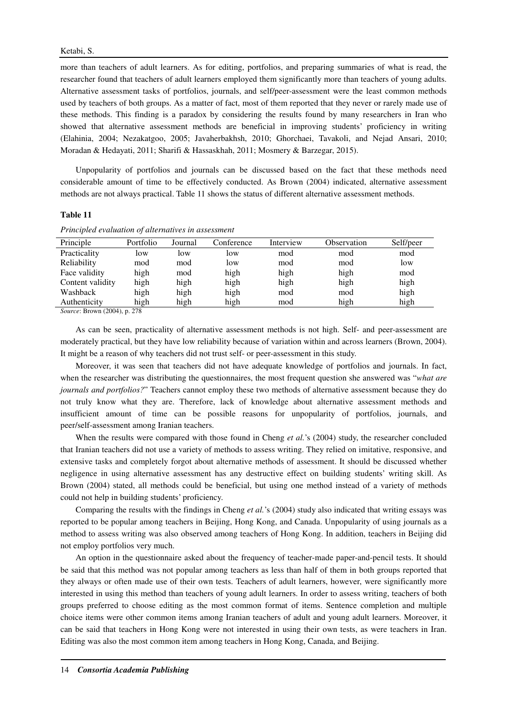more than teachers of adult learners. As for editing, portfolios, and preparing summaries of what is read, the researcher found that teachers of adult learners employed them significantly more than teachers of young adults. Alternative assessment tasks of portfolios, journals, and self/peer-assessment were the least common methods used by teachers of both groups. As a matter of fact, most of them reported that they never or rarely made use of these methods. This finding is a paradox by considering the results found by many researchers in Iran who showed that alternative assessment methods are beneficial in improving students' proficiency in writing (Elahinia, 2004; Nezakatgoo, 2005; Javaherbakhsh, 2010; Ghorchaei, Tavakoli, and Nejad Ansari, 2010; Moradan & Hedayati, 2011; Sharifi & Hassaskhah, 2011; Mosmery & Barzegar, 2015).

Unpopularity of portfolios and journals can be discussed based on the fact that these methods need considerable amount of time to be effectively conducted. As Brown (2004) indicated, alternative assessment methods are not always practical. Table 11 shows the status of different alternative assessment methods.

#### **Table 11**

|  | Principled evaluation of alternatives in assessment |
|--|-----------------------------------------------------|
|  |                                                     |

| Principle        | Portfolio | Journal | Conference | Interview | Observation | Self/peer |
|------------------|-----------|---------|------------|-----------|-------------|-----------|
| Practicality     | low       | low     | low        | mod       | mod         | mod       |
| Reliability      | mod       | mod     | low        | mod       | mod         | low       |
| Face validity    | high      | mod     | high       | high      | high        | mod       |
| Content validity | high      | high    | high       | high      | high        | high      |
| Washback         | high      | high    | high       | mod       | mod         | high      |
| Authenticity     | high      | high    | high       | mod       | high        | high      |
|                  |           |         |            |           |             |           |

*Source*: Brown (2004), p. 278

As can be seen, practicality of alternative assessment methods is not high. Self- and peer-assessment are moderately practical, but they have low reliability because of variation within and across learners (Brown, 2004). It might be a reason of why teachers did not trust self- or peer-assessment in this study.

Moreover, it was seen that teachers did not have adequate knowledge of portfolios and journals. In fact, when the researcher was distributing the questionnaires, the most frequent question she answered was "*what are journals and portfolios?*" Teachers cannot employ these two methods of alternative assessment because they do not truly know what they are. Therefore, lack of knowledge about alternative assessment methods and insufficient amount of time can be possible reasons for unpopularity of portfolios, journals, and peer/self-assessment among Iranian teachers.

When the results were compared with those found in Cheng *et al.*'s (2004) study, the researcher concluded that Iranian teachers did not use a variety of methods to assess writing. They relied on imitative, responsive, and extensive tasks and completely forgot about alternative methods of assessment. It should be discussed whether negligence in using alternative assessment has any destructive effect on building students' writing skill. As Brown (2004) stated, all methods could be beneficial, but using one method instead of a variety of methods could not help in building students' proficiency.

Comparing the results with the findings in Cheng *et al.*'s (2004) study also indicated that writing essays was reported to be popular among teachers in Beijing, Hong Kong, and Canada. Unpopularity of using journals as a method to assess writing was also observed among teachers of Hong Kong. In addition, teachers in Beijing did not employ portfolios very much.

An option in the questionnaire asked about the frequency of teacher-made paper-and-pencil tests. It should be said that this method was not popular among teachers as less than half of them in both groups reported that they always or often made use of their own tests. Teachers of adult learners, however, were significantly more interested in using this method than teachers of young adult learners. In order to assess writing, teachers of both groups preferred to choose editing as the most common format of items. Sentence completion and multiple choice items were other common items among Iranian teachers of adult and young adult learners. Moreover, it can be said that teachers in Hong Kong were not interested in using their own tests, as were teachers in Iran. Editing was also the most common item among teachers in Hong Kong, Canada, and Beijing.